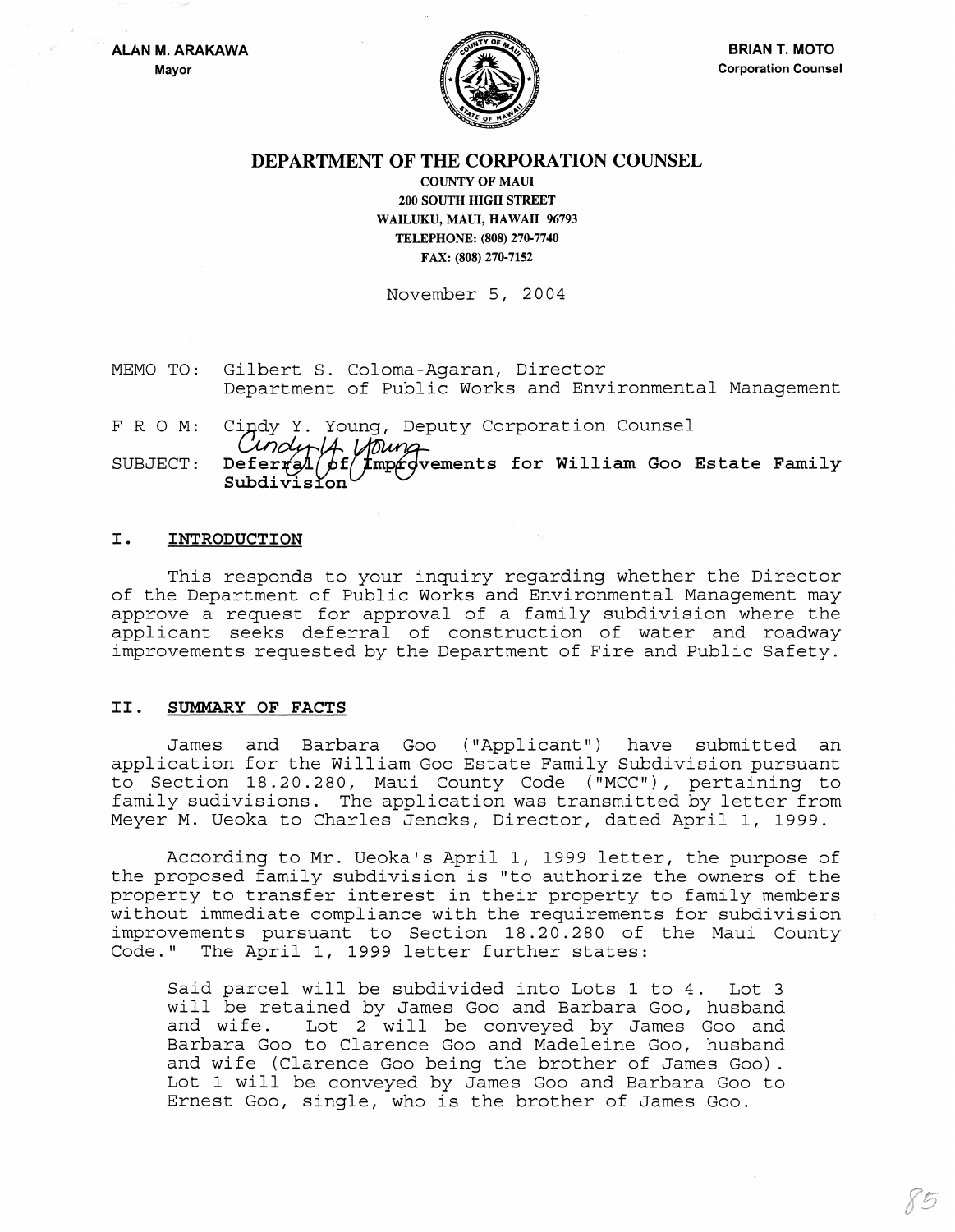

# DEPARTMENT OF THE CORPORATION COUNSEL

COUNTY OF MAUl 200 SOUTH HIGH STREET WAILUKU, MAUl, HAWAII 96793 TELEPHONE: (808) 270-7740 FAX: (808) 270-7152

November 5, 2004

- MEMO TO: Gilbert S. Coloma-Agaran, Director Department of Public Works and Environmental Management
- FRO M: Cindy Y. Young, Deputy Corporation Counsel<br>Condet La Loung

SUBJECT: Defer $\tau$ al $/$ of $/$ fmpr $\sigma$ vements for William Goo Estate Family  $\texttt{Subdivision}^\text{t}$ 

### I. INTRODUCTION

This responds to your inquiry regarding whether the Director of the Department of Public Works and Environmental Management may approve a request for approval of a family subdivision where the applicant seeks deferral of construction of water and roadway improvements requested by the Department of Fire and Public Safety.

### II. SUMMARY OF FACTS

James and Barbara Goo ("Applicant") have submitted an application for the William Goo Estate Family Subdivision pursuant to Section 18.20.280, Maui County Code ("MCC"), pertaining to family sudivisions. The application was transmitted by letter from Meyer M. Ueoka to Charles Jencks, Director, dated April I, 1999.

According to Mr. Ueoka's April I, 1999 letter, the purpose of the proposed family subdivision is "to authorize the owners of the property to transfer interest in their property to family members without immediate compliance with the requirements for subdivision improvements pursuant to Section 18.20.280 of the Maui County Code." The April I, 1999 letter further states:

Said parcel will be subdivided into Lots 1 to 4. Lot 3 will be retained by James Goo and Barbara Goo, husband<br>and wife. Lot 2 will be conveved by James Goo and Lot 2 will be conveyed by James Goo and Barbara Goo to Clarence Goo and Madeleine Goo, husband and wife (Clarence Goo being the brother of James Goo) . Lot 1 will be conveyed by James Goo and Barbara Goo to Ernest Goo, single, who is the brother of James Goo.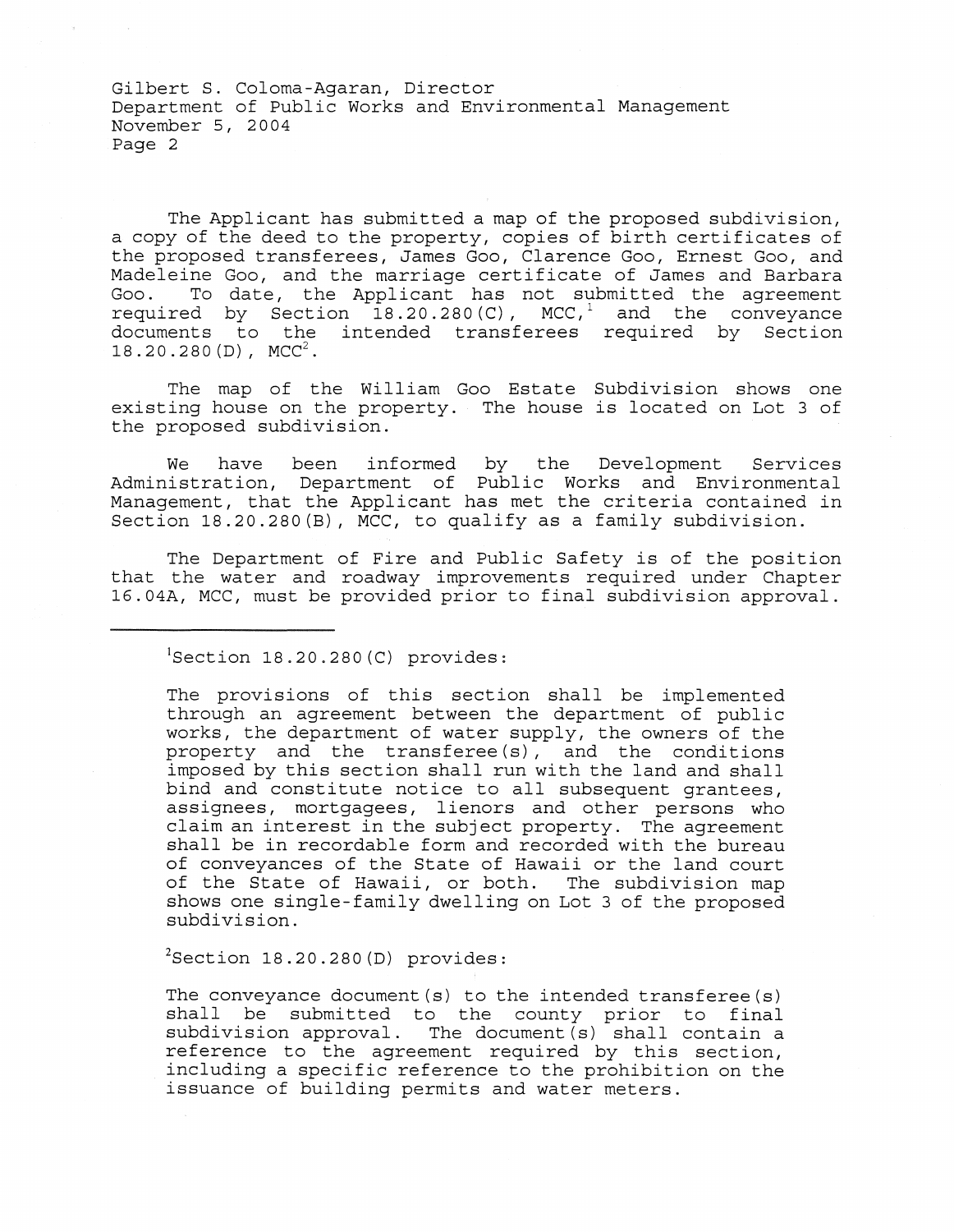The Applicant has submitted a map of the proposed subdivision, a copy of the deed to the property, copies of birth certificates of the proposed transferees, James Goo, Clarence Goo, Ernest Goo, and Madeleine Goo, and the marriage certificate of James and Barbara To date, the Applicant has not submitted the agreement required by Section  $18.20.280(C)$ , MCC,<sup>1</sup> and the conveyance documents to the intended transferees required by Section  $18.20.280(D)$ , MCC<sup>2</sup>.

The map of the William Goo Estate Subdivision shows one existing house on the property. The house is located on Lot 3 of the proposed subdivision.

We have been informed by the Development Services Administration, Department of Public Works and Environmental Management, that the Applicant has met the criteria contained in Section 18.20.280(B), MCC, to qualify as a family subdivision.

The Department of Fire and Public Safety is of the position that the water and roadway improvements required under Chapter 16.04A, MCC, must be provided prior to final subdivision approval.

 ${}^{1}$ Section 18.20.280(C) provides:

The provisions of this section shall be implemented through an agreement between the department of public works, the department of water supply, the owners of the property and the transferee(s), and the conditions imposed by this section shall run with the land and shall bind and constitute notice to all subsequent grantees, assignees, mortgagees, lienors and other persons who claim an interest in the subject property. The agreement shall be in recordable form and recorded with the bureau of conveyances of the State of Hawaii or the land court of the State of Hawaii, or both. The subdivision map shows one single-family dwelling on Lot 3 of the proposed subdivision.

 $2$ Section 18.20.280(D) provides:

The conveyance document  $(s)$  to the intended transferee  $(s)$ shall be submitted to the county prior to final subdivision approval. The document  $(s)$  shall contain a reference to the agreement required by this section, including a specific reference to the prohibition on the issuance of building permits and water meters.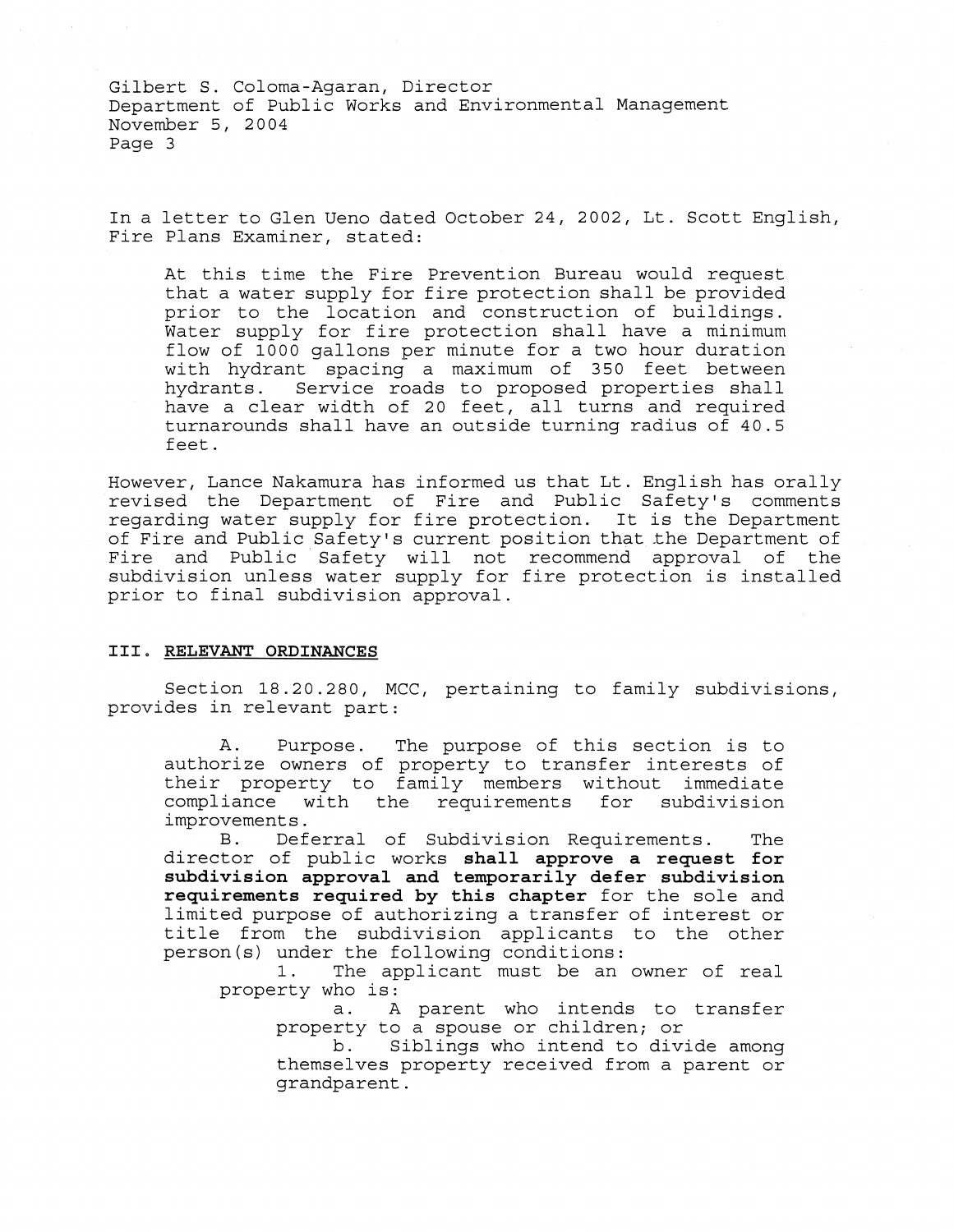In a letter to Glen Ueno dated October 24, 2002, Lt. Scott English, Fire Plans Examiner, stated:

At this time the Fire Prevention Bureau would request that a water supply for fire protection shall be provided prior to the location and construction of buildings. Water supply for fire protection shall have a minimum flow of 1000 gallons per minute for a two hour duration with hydrant spacing a maximum of 350 feet between<br>hydrants. Service roads to proposed properties shall Service roads to proposed properties shall have a clear width of 20 feet, all turns and required turnarounds shall have an outside turning radius of 40.5 feet.

However, Lance Nakamura has informed us that Lt. English has orally revised the Department of Fire and Public Safety's comments regarding water supply for fire protection. It is the Department of Fire and Public Safety's current position that the Department of Fire and Public Safety will not recommend approval of the subdivision unless water supply for fire protection is installed prior to final subdivision approval.

### **III. RELEVANT ORDINANCES**

Section 18.20.280, MCC, pertaining to family subdivisions, provides in relevant part:

A. Purpose. The purpose of this section is to authorize owners of property to transfer interests of their property to family members without immediate<br>compliance with the requirements for subdivision compliance with the requirements for improvements.

B. Deferral of Subdivision Requirements. The director of public works **shall approve a request for subdivision approval and temporarily defer subdivision requirements required by this chapter** for the sole and limited purpose of authorizing a transfer of interest or title from the subdivision applicants to the other person(s) under the following conditions:<br>1. The applicant must be an

The applicant must be an owner of real property who is:

a. A parent who intends to transfer property to a spouse or children; or<br>b. Siblings who intend to dive

Siblings who intend to divide among themselves property received from a parent or grandparent.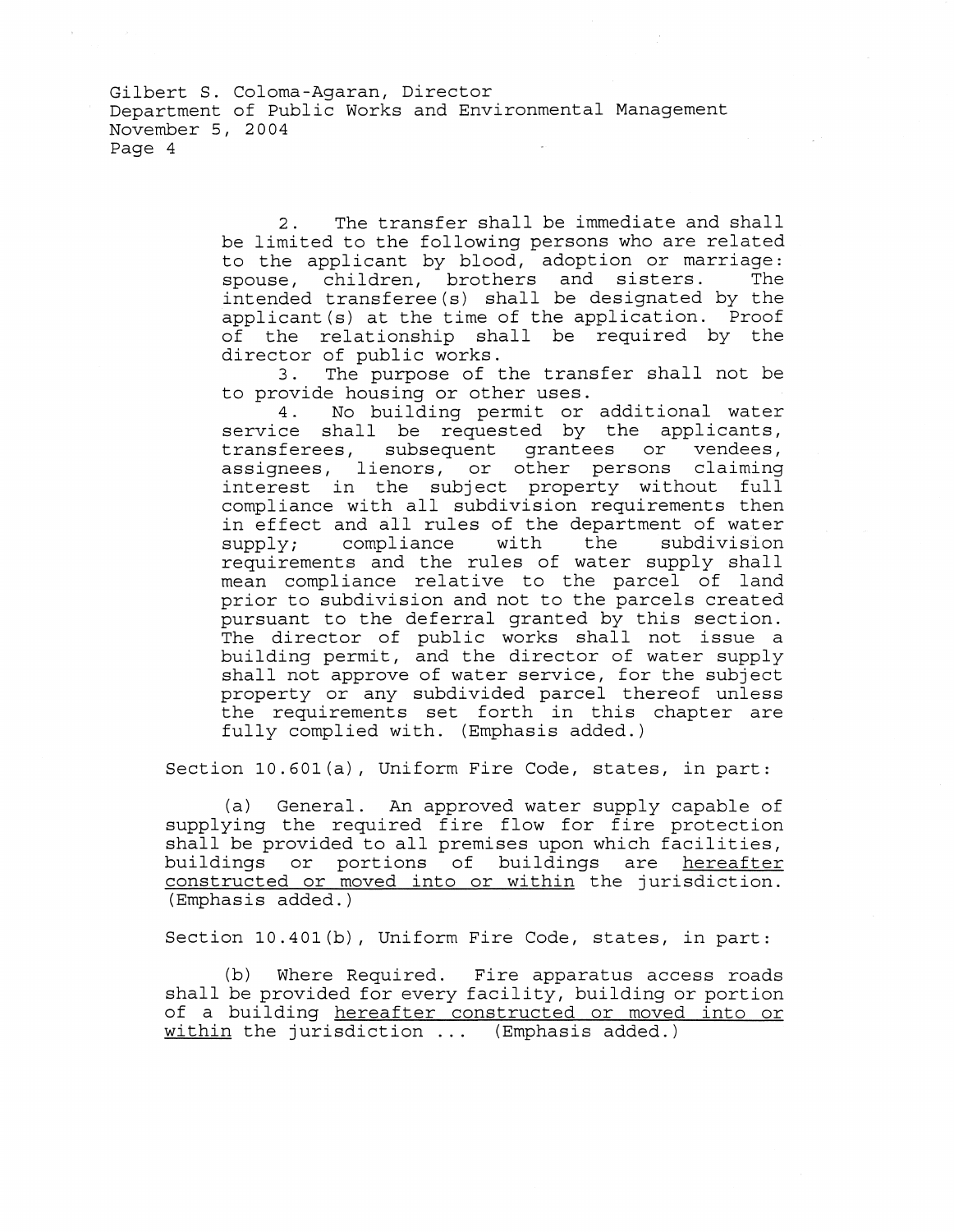> 2. The transfer shall be immediate and shall be limited to the following persons who are related to the applicant by blood, adoption or marriage: spouse, children, brothers and sisters. intended transferee(s) shall be designated by the applicant(s) at the time of the application. Proof of the relationship shall be required by the director of public works.<br>3. The purpose of t

> The purpose of the transfer shall not be to provide housing or other uses.

> 4. No building permit or additional water service shall be requested by the applicants,<br>transferees, subsequent grantees or vendees, transferees, subsequent grantees or assignees, lienors, or other persons claiming interest in the subject property without full compliance with all subdivision requirements then in effect and all rules of the department of water<br>supply; compliance with the subdivision compliance requirements and the rules of water supply shall mean compliance relative to the parcel of land prior to subdivision and not to the parcels created pursuant to the deferral granted by this section. The director of public works shall not issue a building permit, and the director of water supply shall not approve of water service, for the subject property or any subdivided parcel thereof unless the requirements set forth in this chapter are fully complied with. (Emphasis added.)

Section 10.601(a), Uniform Fire Code, states, in part:

(a) General. An approved water supply capable of supplying the required fire flow for fire protection shall be provided to all premises upon which facilities, buildings or portions of buildings are hereafter constructed or moved into or within the jurisdiction. (Emphasis added.)

Section 10.401(b), Uniform Fire Code, states, in part:

(b) Where Required. Fire apparatus access roads shall be provided for every facility, building or portion of a building hereafter constructed or moved into or within the jurisdiction... (Emphasis added.)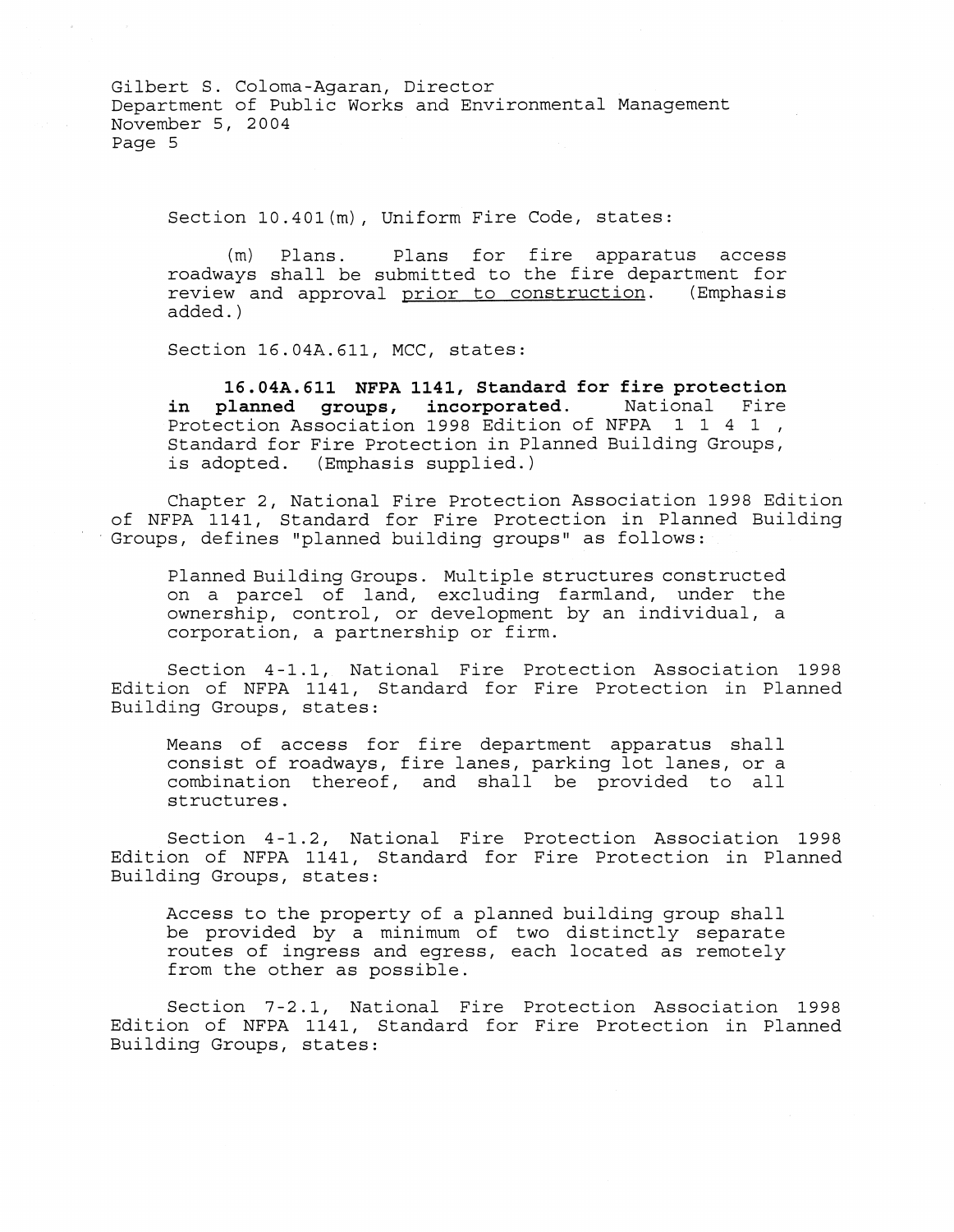Section 10.401(m), Uniform Fire Code, states:

(m) Plans. Plans for fire apparatus access roadways shall be submitted to the fire department for<br>review and approval prior to construction. (Emphasis review and approval prior to construction. added. )

Section 16.04A.611, MCC, states:

**16.04A.611 NFPA 1141, Standard for fire protection in planned groups, incorporated.** National Fire Protection Association 1998 Edition of NFPA 1 1 4 1, Standard for Fire Protection in Planned Building Groups, is adopted. (Emphasis supplied.)

Chapter 2, National Fire Protection Association 1998 Edition of NFPA 1141, Standard for Fire Protection in Planned Building . Groups, defines "planned building groups" as follows:

Planned Building Groups. Multiple structures constructed on a parcel of land, excluding farmland, under the ownership, control, or development by an individual, a corporation, a partnership or firm.

Section 4-1.1, National Fire Protection Association 1998 Edition of NFPA 1141, Standard for Fire Protection in Planned Building Groups, states:

Means of access for fire department apparatus shall consist of roadways, fire lanes, parking lot lanes, or a combination thereof, and shall be provided to all structures.

Section 4-1.2, National Fire Protection Association 1998 Edition of NFPA 1141, Standard for Fire Protection in Planned Building Groups, states:

Access to the property of a planned building group shall be provided by a minimum of two distinctly separate routes of ingress and egress, each located as remotely from the other as possible.

Section 7-2.1, National Fire Protection Association 1998 Edition of NFPA 1141, Standard for Fire Protection in Planned Building Groups, states: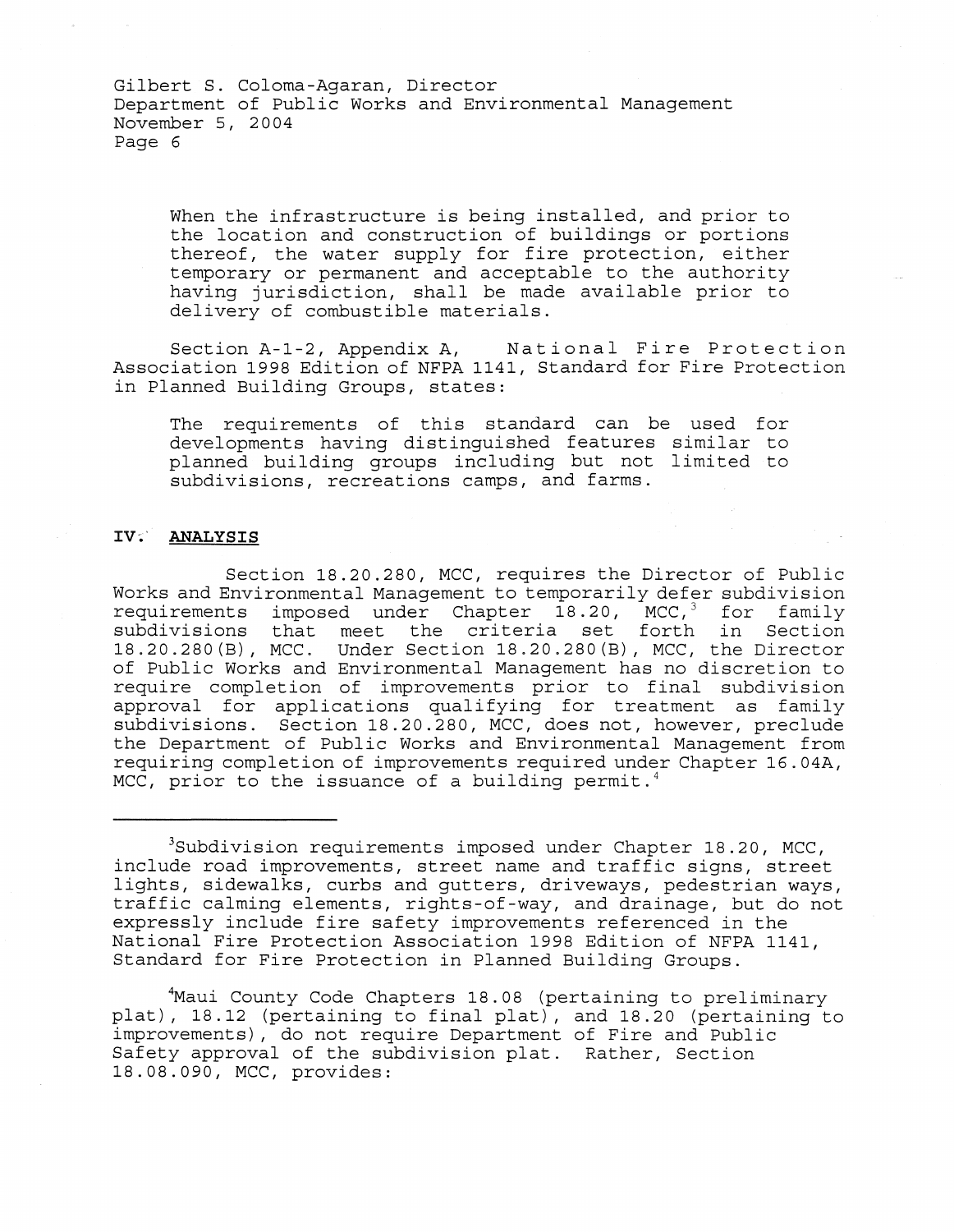When the infrastructure is being installed, and prior to the location and construction of buildings or portions thereof, the water supply for fire protection, either temporary or permanent and acceptable to the authority having jurisdiction, shall be made available prior to delivery of combustible materials.

Section A-1-2, Appendix A, National Fire Protection Association 1998 Edition of NFPA 1141, Standard for Fire Protection in Planned Building Groups, states:

The requirements of this standard can be used for developments having distinguished features similar to planned building groups including but not limited to subdivisions, recreations camps, and farms.

# IV'~' **ANALYSIS**

Section 18.20.280, MCC, requires the Director of Public Works and Environmental Management to temporarily defer subdivision requirements imposed under Chapter 18.20, MCC,<sup>3</sup> for family subdivisions that meet the criteria set forth in Section 18.20.280(B), MCC. Under Section 18.20.280(B), MCC, the Director of Public Works and Environmental Management has no discretion to require completion of improvements prior to final subdivision approval for applications qualifying for treatment as family subdivisions. Section 18.20.280, MCC, does not, however, preclude the Department of Public Works and Environmental Management from requiring completion of improvements required under Chapter 16. 04A, MCC, prior to the issuance of a building permit.<sup>4</sup>

3Subdivision requirements imposed under Chapter 18.20, MCC, include road improvements, street name and traffic signs, street lights, sidewalks, curbs and gutters, driveways, pedestrian ways, traffic calming elements, rights-of-way, and drainage, but do not expressly include fire safety improvements referenced in the National Fire Protection Association 1998 Edition of NFPA 1141, Standard for Fire Protection in Planned Building Groups.

4Maui County Code Chapters 18.08 (pertaining to preliminary plat), 18.12 (pertaining to final plat), and 18.20 (pertaining to improvements), do not require Department of Fire and Public Safety approval of the subdivision plat. Rather, Section 18.08.090, MCC, provides: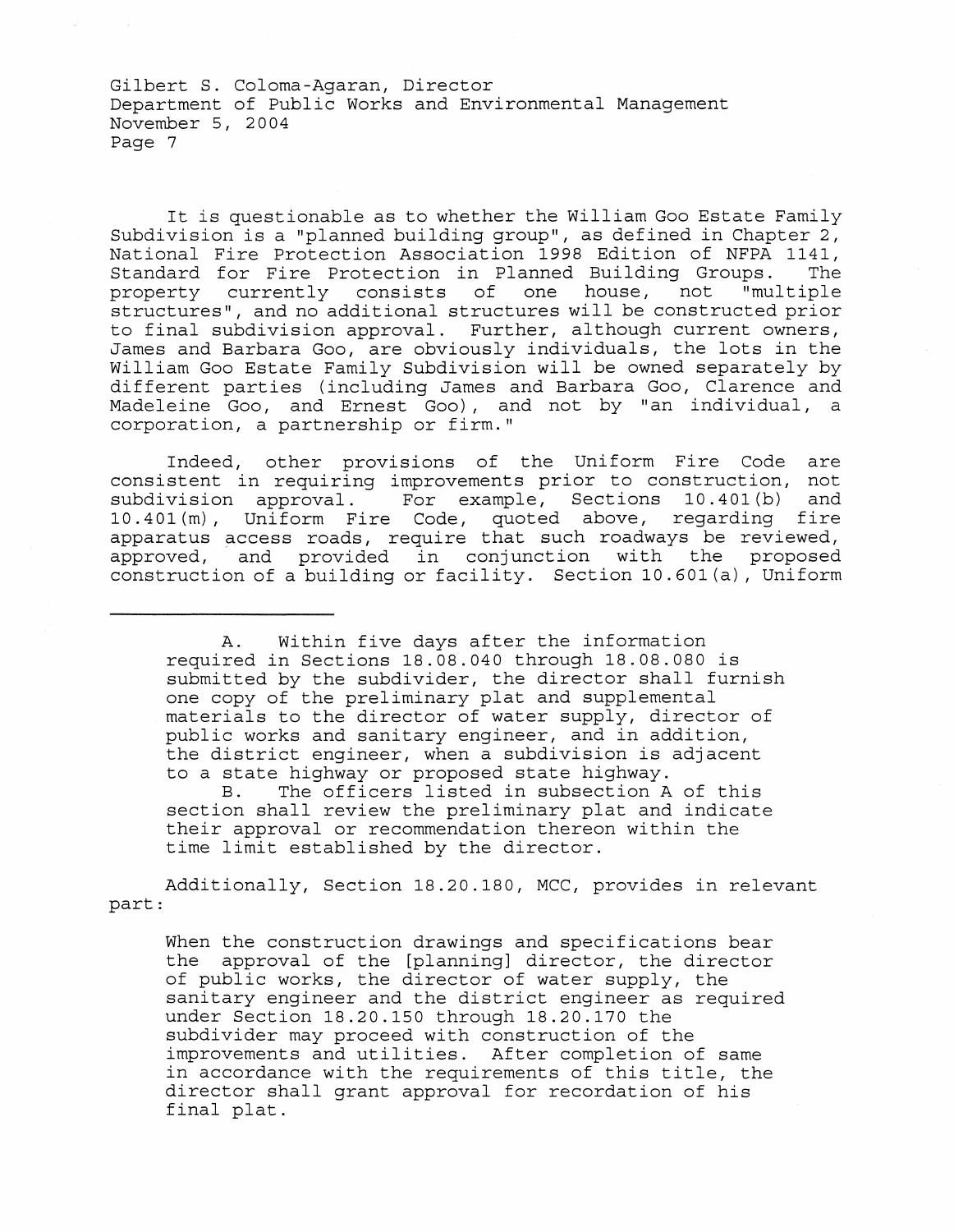It is questionable as to whether the William Goo Estate Family Subdivision is a "planned building group", as defined in Chapter 2, National Fire Protection Association 1998 Edition of NFPA 1141, Standard for Fire Protection in Planned Building Groups. The<br>property currently consists of one house, not "multiple property currently consists of one house, not structures", and no additional structures will be constructed prior to final subdivision approval. Further, although current owners, James and Barbara Goo, are obviously individuals, the lots in the William Goo Estate Family Subdivision will be owned separately by different parties (including James and Barbara Goo, Clarence and Madeleine Goo, and Ernest Goo), and not by "an individual, a corporation, a partnership or firm."

Indeed, other provisions of the Uniform Fire Code are consistent in requiring improvements prior to construction, not subdivision approval. For example, Sections 10.401(b) and 10.401(m), Uniform Fire Code, quoted above, regarding fire apparatus access roads, require that such roadways be reviewed, approved, and provided in conjunction with the proposed construction of a building or facility. Section 10.601(a), Uniform

A. Within five days after the information required in Sections 18.08.040 through 18.08.080 is submitted by the subdivider, the director shall furnish one copy of the preliminary plat and supplemental materials to the director of water supply, director of public works and sanitary engineer, and in addition, the district engineer, when a subdivision is adjacent to a state highway or proposed state highway.<br>B. The officers listed in subsection A

The officers listed in subsection A of this section shall review the preliminary plat and indicate their approval or recommendation thereon within the time limit established by the director.

Additionally, Section 18.20.180, MCC, provides in relevant part:

When the construction drawings and specifications bear the approval of the [planning] director, the director of public works, the director of water supply, the sanitary engineer and the district engineer as required under Section 18.20.150 through 18.20.170 the subdivider may proceed with construction of the improvements and utilities. After completion of same in accordance with the requirements of this title, the director shall grant approval for recordation of his final plat.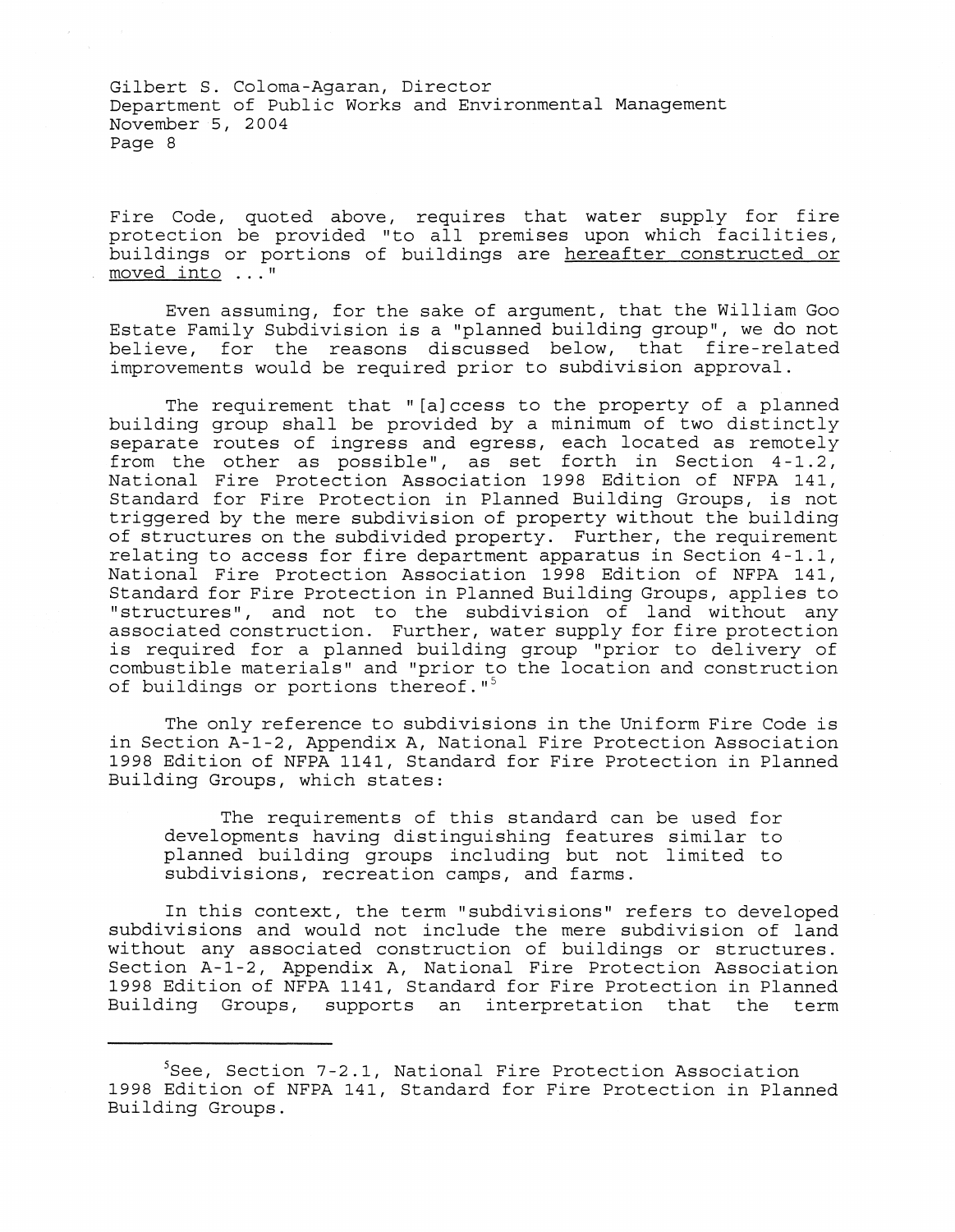Fire Code, quoted above, requires that water supply for fire protection be provided "to all premises upon which facilities, buildings or portions of buildings are hereafter constructed or moved **into ... "** 

Even assuming, for the sake of argument, that the William Goo Estate Family Subdivision is a "planned building group", we do not believe, for the reasons discussed below, that fire-related improvements would be required prior to subdivision approval.

The requirement that "[a]ccess to the property of a planned building group shall be provided by a minimum of two distinctly separate routes of ingress and egress, each located as remotely from the other as possible", as set forth in Section 4 -1.2, National Fire Protection Association 1998 Edition of NFPA 141, Standard for Fire Protection in Planned Building Groups, is not triggered by the mere subdivision of property without the building of structures on the subdivided property. Further, the requirement relating to access for fire department apparatus in Section 4-1.1, National Fire Protection Association 1998 Edition of NFPA 141, Standard for Fire Protection in Planned Building Groups, applies to "structures", and not to the subdivision of land without any associated construction. Further, water supply for fire protection is required for a planned building group "prior to delivery of combustible materials" and "prior to the location and construction of buildings or portions thereof."<sup>5</sup>

The only reference to subdivisions in the Uniform Fire Code is in Section A-1-2, Appendix A, National Fire Protection Association 1998 Edition of NFPA 1141, Standard for Fire Protection in Planned Building Groups, which states:

The requirements of this standard can be used for developments having distinguishing features similar to planned building groups including but not limited to subdivisions, recreation camps, and farms.

In this context, the term "subdivisions" refers to developed subdivisions and would not include the mere subdivision of land without any associated construction of buildings or structures. Section A-1-2, Appendix A, National Fire Protection Association 1998 Edition of NFPA 1141, Standard for Fire Protection in Planned Building Groups, supports an interpretation that the term

 $5$ See, Section 7-2.1, National Fire Protection Association 1998 Edition of NFPA 141, Standard for Fire Protection in Planned Building Groups.